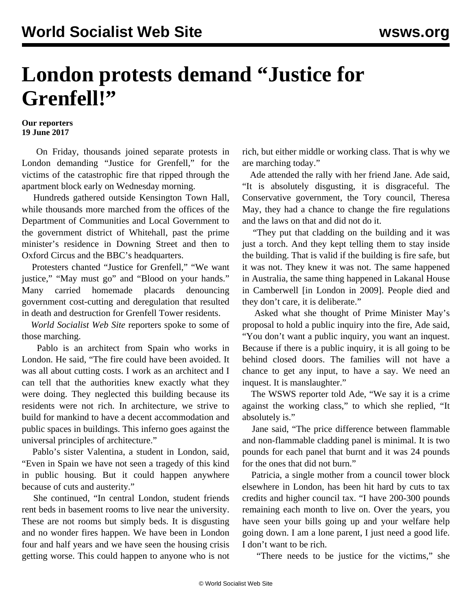## **London protests demand "Justice for Grenfell!"**

## **Our reporters 19 June 2017**

 On Friday, thousands joined separate protests in London demanding "Justice for Grenfell," for the victims of the catastrophic fire that ripped through the apartment block early on Wednesday morning.

 Hundreds gathered outside Kensington Town Hall, while thousands more marched from the offices of the Department of Communities and Local Government to the government district of Whitehall, past the prime minister's residence in Downing Street and then to Oxford Circus and the BBC's headquarters.

 Protesters chanted "Justice for Grenfell," "We want justice," "May must go" and "Blood on your hands." Many carried homemade placards denouncing government cost-cutting and deregulation that resulted in death and destruction for Grenfell Tower residents.

 *World Socialist Web Site* reporters spoke to some of those marching.

 Pablo is an architect from Spain who works in London. He said, "The fire could have been avoided. It was all about cutting costs. I work as an architect and I can tell that the authorities knew exactly what they were doing. They neglected this building because its residents were not rich. In architecture, we strive to build for mankind to have a decent accommodation and public spaces in buildings. This inferno goes against the universal principles of architecture."

 Pablo's sister Valentina, a student in London, said, "Even in Spain we have not seen a tragedy of this kind in public housing. But it could happen anywhere because of cuts and austerity."

 She continued, "In central London, student friends rent beds in basement rooms to live near the university. These are not rooms but simply beds. It is disgusting and no wonder fires happen. We have been in London four and half years and we have seen the housing crisis getting worse. This could happen to anyone who is not rich, but either middle or working class. That is why we are marching today."

 Ade attended the rally with her friend Jane. Ade said, "It is absolutely disgusting, it is disgraceful. The Conservative government, the Tory council, Theresa May, they had a chance to change the fire regulations and the laws on that and did not do it.

 "They put that cladding on the building and it was just a torch. And they kept telling them to stay inside the building. That is valid if the building is fire safe, but it was not. They knew it was not. The same happened in Australia, the same thing happened in Lakanal House in Camberwell [in London in 2009]. People died and they don't care, it is deliberate."

 Asked what she thought of Prime Minister May's proposal to hold a public inquiry into the fire, Ade said, "You don't want a public inquiry, you want an inquest. Because if there is a public inquiry, it is all going to be behind closed doors. The families will not have a chance to get any input, to have a say. We need an inquest. It is manslaughter."

 The WSWS reporter told Ade, "We say it is a crime against the working class," to which she replied, "It absolutely is."

 Jane said, "The price difference between flammable and non-flammable cladding panel is minimal. It is two pounds for each panel that burnt and it was 24 pounds for the ones that did not burn."

 Patricia, a single mother from a council tower block elsewhere in London, has been hit hard by cuts to tax credits and higher council tax. "I have 200-300 pounds remaining each month to live on. Over the years, you have seen your bills going up and your welfare help going down. I am a lone parent, I just need a good life. I don't want to be rich.

"There needs to be justice for the victims," she